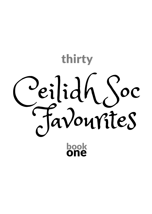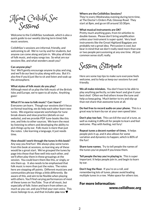

Welcome to the CeilidhSoc tunebook, which is also a quick guide to our weekly (during term time) folk music sessions.

CeilidhSoc's sessions are informal, friendly, and welcoming to all. We're run by and for students, but anyone can come along and join in. We play all kinds of folk music, and enjoy songs too. So what are our sessions like, and what wonders await you?

### **Can anyone play?**

Yes! We'll gently encourage anyone to play and sing, and we'll do our best to play along with you. But it's also fine if you'd just like to sit and listen and soak up the atmosphere.

#### **What styles of folk music do you play?**

Although most of us play the folk music of the British Isles and Europe, we're open to all styles. Anything goes!

#### **What if I'm new to folk music? Can I learn?**

Everyone can learn. Though our sessions don't focus on formal teaching, we do help each other learn new tunes. We organise separate workshops for tune break-downs and slow practice (details on our website), and we provide PDF tune-books like this one, and links to other sources. We learn the most by listening to others and developing the ability to pick things up by ear. Folk music is more than just the notes. Like learning a language, it just needs time.

**How should I work through the tunes in this book?**

Any way you find fun! We always play some tunes from this book at sessions, so learning any of these would be a great start. We've grouped the tunes by page into those that flow well into each other, and we'll often play them in these groupings at the session. You could learn them like this, or singly, or mix them up. It also needs to be emphasised that folk music is more than just the notes. The notes here are stepping off points. Different musicians and communities phrase things a little differently. Be aware of this, and aim to be flexible when playing with others. You'll find varying performances of most of these tunes on YouTube. True of all music, but especially of folk: listen and learn from others as much as you can, and you'll find your own voice. This music belongs to us, and that includes **you** now ♥

### **Where are the CeilidhSoc Sessions?**

They're every Wednesday evening during term time, at The Doctor's Orders Pub, Glossop Road. They start at 8pm, and go on till around 10:30pm.

#### **What musical instruments are OK?**

Pretty much anything goes, from tin whistles to double-basses. Please don't bring amplification unless your instrument is super-quiet. Very loud instruments like the Great Highland Bagpipes are probably not a great idea. Percussion is cool, but bear in mind that we don't really need more than one or two people percussioning at any one time. All just common sense stuff, really.



Here are some top tips to make sure everyone feels welcome, and to help us keep our sessions fun and friendly.

**We all make mistakes.** You don't have to be able to play anything perfectly, so take heart and give it your best shot! Often we find others know the tune and help us keep going. Much better to try and slip up than not share that awesome tune at all.

**Do feel free to record audio on your phone.** This is a great way to learn by ear at your own speed later.

**Don't play too fast.** This can kill the soul of a tune, as well as making it difficult for people to learn and feel welcome. Play with feeling, not fury!

**Repeat tunes a decent number of times.** It helps people pick it up, and it also allows for some variation and dynamics to happen, which is 80% of the fun!

**Share tune names.** Try to tell people the names of the tunes you've played if you know them.

**Tell people the key you're playing in.** This is super important. It helps people join in, and begin to learn by ear.

**Don't hog the floor.** If you're on a roll, and remembering lots of tunes, please avoid leading multiple tunes in a row. Make space for others too.

### For more information:

www.ceilidhsoc.org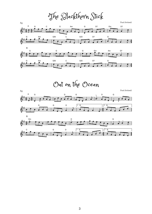The Blackthorn Stick





Out on the Ocean

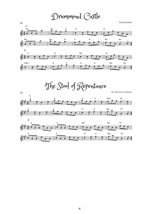# Drummond Castle



The Stool of Repentance



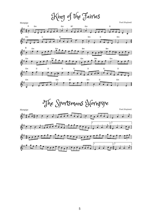King of the Fairies





5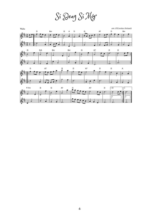Sí Beag Sí Mór

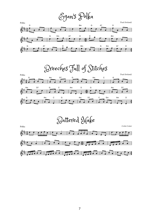### Egan's Polka





Battered Hake

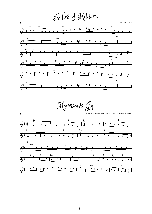Rakes of Kildare



Morrison's Jig

*Trad, from James Morrison via Tom Carmondy (Ireland)* Jig



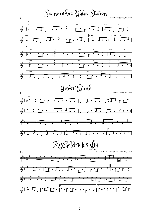Seanamhac Tube Station

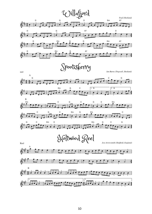





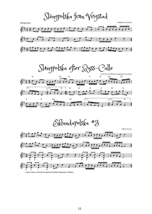Slängpolska från Vrigstad

Slängpolska *Småland, Sweden* 孨 **3 4** 孨 ╤▀ 孟  $\overline{\div}$ 



Eklundapolska #3

*Viksta-Lasse*



#### Lower notes in chords are optional double-stopping for fiddlers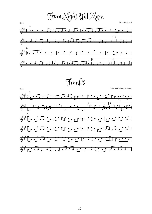From Night Till Morn







12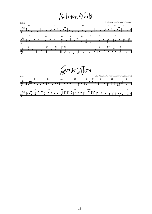### Salmon Tails



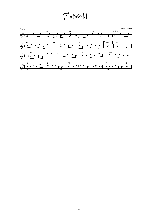# Flatworld

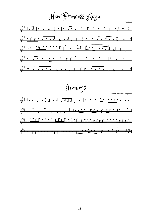New Princess Royal

*England*